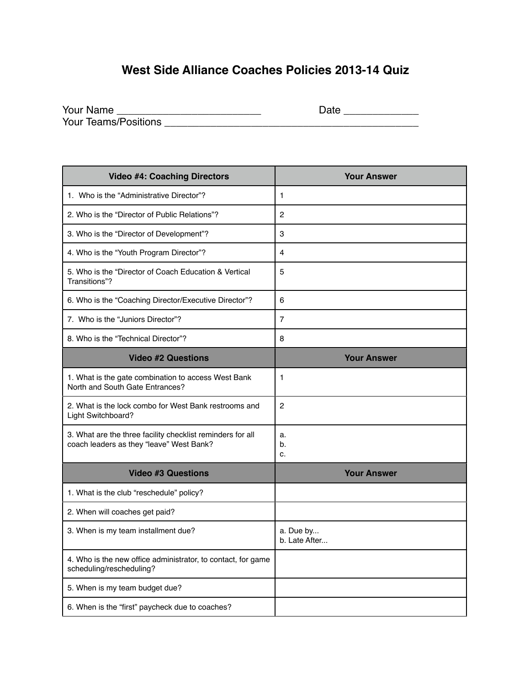## **West Side Alliance Coaches Policies 2013-14 Quiz**

| Your Name                   | Date |
|-----------------------------|------|
| <b>Your Teams/Positions</b> |      |

| <b>Video #4: Coaching Directors</b>                                                                    | <b>Your Answer</b>         |
|--------------------------------------------------------------------------------------------------------|----------------------------|
| 1. Who is the "Administrative Director"?                                                               | 1                          |
| 2. Who is the "Director of Public Relations"?                                                          | 2                          |
| 3. Who is the "Director of Development"?                                                               | 3                          |
| 4. Who is the "Youth Program Director"?                                                                | 4                          |
| 5. Who is the "Director of Coach Education & Vertical<br>Transitions"?                                 | 5                          |
| 6. Who is the "Coaching Director/Executive Director"?                                                  | 6                          |
| 7. Who is the "Juniors Director"?                                                                      | $\overline{7}$             |
| 8. Who is the "Technical Director"?                                                                    | 8                          |
| <b>Video #2 Questions</b>                                                                              | <b>Your Answer</b>         |
| 1. What is the gate combination to access West Bank<br>North and South Gate Entrances?                 | 1                          |
| 2. What is the lock combo for West Bank restrooms and<br>Light Switchboard?                            | 2                          |
| 3. What are the three facility checklist reminders for all<br>coach leaders as they "leave" West Bank? | a.<br>b.<br>c.             |
| <b>Video #3 Questions</b>                                                                              | <b>Your Answer</b>         |
| 1. What is the club "reschedule" policy?                                                               |                            |
| 2. When will coaches get paid?                                                                         |                            |
| 3. When is my team installment due?                                                                    | a. Due by<br>b. Late After |
| 4. Who is the new office administrator, to contact, for game<br>scheduling/rescheduling?               |                            |
| 5. When is my team budget due?                                                                         |                            |
| 6. When is the "first" paycheck due to coaches?                                                        |                            |